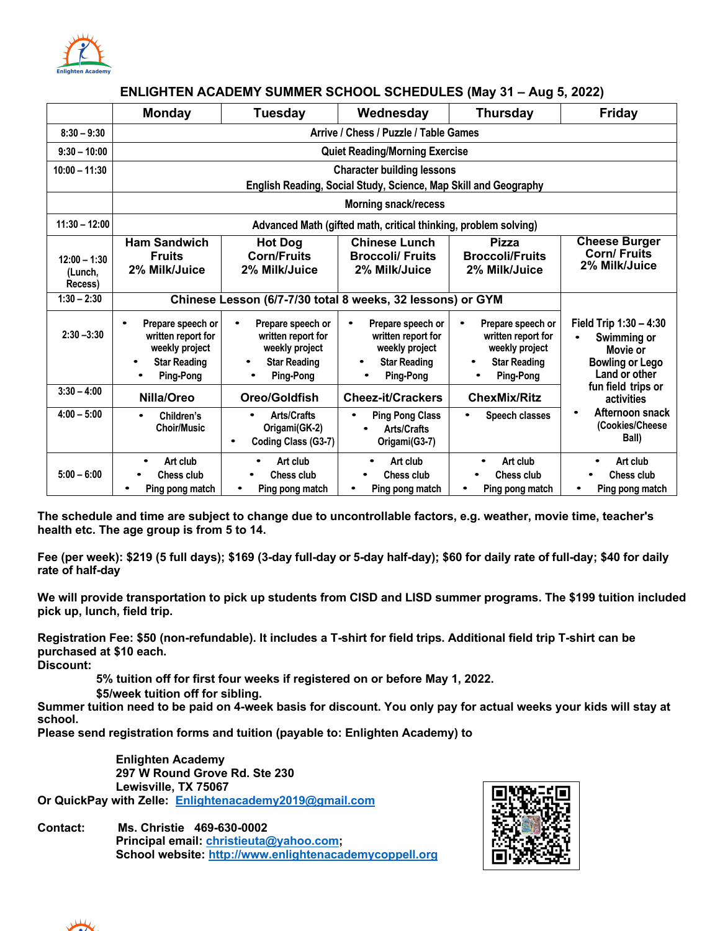

### **ENLIGHTEN ACADEMY SUMMER SCHOOL SCHEDULES (May 31 – Aug 5, 2022)**

|                                      | <b>Monday</b>                                                                                                                                                                                      | <b>Tuesday</b>                                                          | Wednesday                                                                                                         | <b>Thursday</b>                                                                                                        | <b>Friday</b>                                                                                |  |
|--------------------------------------|----------------------------------------------------------------------------------------------------------------------------------------------------------------------------------------------------|-------------------------------------------------------------------------|-------------------------------------------------------------------------------------------------------------------|------------------------------------------------------------------------------------------------------------------------|----------------------------------------------------------------------------------------------|--|
| $8:30 - 9:30$                        |                                                                                                                                                                                                    |                                                                         |                                                                                                                   |                                                                                                                        |                                                                                              |  |
| $9:30 - 10:00$                       |                                                                                                                                                                                                    |                                                                         | <b>Quiet Reading/Morning Exercise</b>                                                                             |                                                                                                                        |                                                                                              |  |
| $10:00 - 11:30$                      |                                                                                                                                                                                                    |                                                                         | <b>Character building lessons</b><br>English Reading, Social Study, Science, Map Skill and Geography              |                                                                                                                        |                                                                                              |  |
|                                      |                                                                                                                                                                                                    |                                                                         | <b>Morning snack/recess</b>                                                                                       |                                                                                                                        |                                                                                              |  |
| $11:30 - 12:00$                      |                                                                                                                                                                                                    |                                                                         | Advanced Math (gifted math, critical thinking, problem solving)                                                   |                                                                                                                        |                                                                                              |  |
| $12:00 - 1:30$<br>(Lunch,<br>Recess) | <b>Ham Sandwich</b><br><b>Chinese Lunch</b><br><b>Pizza</b><br><b>Hot Dog</b><br><b>Corn/Fruits</b><br><b>Broccoli/ Fruits</b><br><b>Fruits</b><br>2% Milk/Juice<br>2% Milk/Juice<br>2% Milk/Juice |                                                                         | <b>Broccoli/Fruits</b><br>2% Milk/Juice                                                                           | <b>Cheese Burger</b><br><b>Corn/ Fruits</b><br>2% Milk/Juice                                                           |                                                                                              |  |
| $1:30 - 2:30$                        |                                                                                                                                                                                                    | Chinese Lesson (6/7-7/30 total 8 weeks, 32 lessons) or GYM              |                                                                                                                   |                                                                                                                        |                                                                                              |  |
| $2:30 - 3:30$                        | Prepare speech or<br>Prepare speech or<br>$\bullet$<br>$\bullet$<br>written report for<br>written report for<br>weekly project<br><b>Star Reading</b><br><b>Ping-Pong</b><br>٠                     |                                                                         | Prepare speech or<br>$\bullet$<br>written report for<br>weekly project<br><b>Star Reading</b><br><b>Ping-Pong</b> | Prepare speech or<br>$\bullet$<br>written report for<br>weekly project<br><b>Star Reading</b><br>٠<br><b>Ping-Pong</b> | Field Trip 1:30 - 4:30<br>Swimming or<br>Movie or<br><b>Bowling or Lego</b><br>Land or other |  |
| $3:30 - 4:00$                        | Nilla/Oreo                                                                                                                                                                                         | Oreo/Goldfish                                                           | <b>Cheez-it/Crackers</b>                                                                                          | <b>ChexMix/Ritz</b>                                                                                                    | fun field trips or<br>activities                                                             |  |
| $4:00 - 5:00$                        | Children's<br>$\bullet$<br><b>Choir/Music</b>                                                                                                                                                      | <b>Arts/Crafts</b><br>$\bullet$<br>Origami(GK-2)<br>Coding Class (G3-7) | <b>Ping Pong Class</b><br>$\bullet$<br><b>Arts/Crafts</b><br>Origami(G3-7)                                        | Speech classes                                                                                                         | Afternoon snack<br>٠<br>(Cookies/Cheese<br>Ball)                                             |  |
| $5:00 - 6:00$                        | Art club<br>Chess club<br>Ping pong match                                                                                                                                                          | Art club<br>Chess club<br>Ping pong match                               | Art club<br>$\bullet$<br>Chess club<br>Ping pong match                                                            | Art club<br>Chess club<br>Ping pong match                                                                              | Art club<br>Chess club<br>Ping pong match                                                    |  |

**The schedule and time are subject to change due to uncontrollable factors, e.g. weather, movie time, teacher's health etc. The age group is from 5 to 14.**

**Fee (per week): \$219 (5 full days); \$169 (3-day full-day or 5-day half-day); \$60 for daily rate of full-day; \$40 for daily rate of half-day**

**We will provide transportation to pick up students from CISD and LISD summer programs. The \$199 tuition included pick up, lunch, field trip.**

**Registration Fee: \$50 (non-refundable). It includes a T-shirt for field trips. Additional field trip T-shirt can be purchased at \$10 each.**

**Discount:**

 **5% tuition off for first four weeks if registered on or before May 1, 2022.**

**\$5/week tuition off for sibling.**

**Summer tuition need to be paid on 4-week basis for discount. You only pay for actual weeks your kids will stay at school.**

**Please send registration forms and tuition (payable to: Enlighten Academy) to**

 **Enlighten Academy 297 W Round Grove Rd. Ste 230 Lewisville, TX 75067**

**Or QuickPay with Zelle: Enlightenacademy2019@gmail.com**

**Contact: Ms. Christie 469-630-0002 Principal email: christieuta@yahoo.com; School website: http://www.enlightenacademycoppell.org**



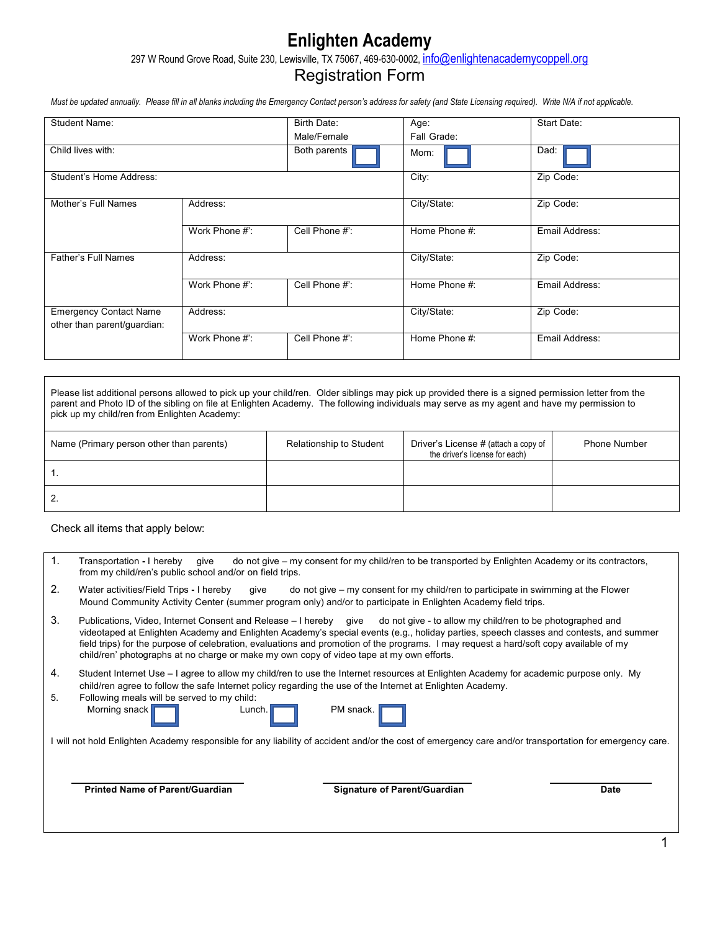# **Enlighten Academy**

297 W Round Grove Road, Suite 230, Lewisville, TX 75067, 469-630-0002, info@enlightenacademycoppell.org

## Registration Form

Must be updated annually. Please fill in all blanks including the Emergency Contact person's address for safety (and State Licensing required). Write N/A if not applicable.

| <b>Student Name:</b>                                         |                | Birth Date:    | Age:          | Start Date:    |
|--------------------------------------------------------------|----------------|----------------|---------------|----------------|
|                                                              |                | Male/Female    | Fall Grade:   |                |
| Child lives with:                                            |                | Both parents   | Mom:          | Dad:           |
| Student's Home Address:                                      |                |                | City:         | Zip Code:      |
| Mother's Full Names                                          | Address:       |                | City/State:   | Zip Code:      |
|                                                              | Work Phone #': | Cell Phone #': | Home Phone #: | Email Address: |
| <b>Father's Full Names</b>                                   | Address:       |                | City/State:   | Zip Code:      |
|                                                              | Work Phone #': | Cell Phone #': | Home Phone #: | Email Address: |
| <b>Emergency Contact Name</b><br>other than parent/guardian: | Address:       |                | City/State:   | Zip Code:      |
|                                                              | Work Phone #': | Cell Phone #': | Home Phone #: | Email Address: |

Please list additional persons allowed to pick up your child/ren. Older siblings may pick up provided there is a signed permission letter from the parent and Photo ID of the sibling on file at Enlighten Academy. The following individuals may serve as my agent and have my permission to pick up my child/ren from Enlighten Academy:

| Name (Primary person other than parents) | <b>Relationship to Student</b> | Driver's License # (attach a copy of<br>the driver's license for each) | <b>Phone Number</b> |
|------------------------------------------|--------------------------------|------------------------------------------------------------------------|---------------------|
|                                          |                                |                                                                        |                     |
|                                          |                                |                                                                        |                     |

Check all items that apply below:

| 1.       | Transportation - I hereby<br>do not give – my consent for my child/ren to be transported by Enlighten Academy or its contractors,<br>give<br>from my child/ren's public school and/or on field trips.                                                                                                                                                                                                                                                                                                        |
|----------|--------------------------------------------------------------------------------------------------------------------------------------------------------------------------------------------------------------------------------------------------------------------------------------------------------------------------------------------------------------------------------------------------------------------------------------------------------------------------------------------------------------|
| 2.       | Water activities/Field Trips - I hereby<br>do not give – my consent for my child/ren to participate in swimming at the Flower<br>qive<br>Mound Community Activity Center (summer program only) and/or to participate in Enlighten Academy field trips.                                                                                                                                                                                                                                                       |
| 3.       | Publications, Video, Internet Consent and Release – I hereby give do not give - to allow my child/ren to be photographed and<br>videotaped at Enlighten Academy and Enlighten Academy's special events (e.g., holiday parties, speech classes and contests, and summer<br>field trips) for the purpose of celebration, evaluations and promotion of the programs. I may request a hard/soft copy available of my<br>child/ren' photographs at no charge or make my own copy of video tape at my own efforts. |
| 4.<br>5. | Student Internet Use – I agree to allow my child/ren to use the Internet resources at Enlighten Academy for academic purpose only. My<br>child/ren agree to follow the safe Internet policy regarding the use of the Internet at Enlighten Academy.<br>Following meals will be served to my child:<br>Morning snack<br>PM snack.<br>Lunch.<br>will not hold Enlighten Academy responsible for any liability of accident and/or the cost of emergency care and/or transportation for emergency care.          |
|          | <b>Printed Name of Parent/Guardian</b><br><b>Signature of Parent/Guardian</b><br><b>Date</b>                                                                                                                                                                                                                                                                                                                                                                                                                 |
|          |                                                                                                                                                                                                                                                                                                                                                                                                                                                                                                              |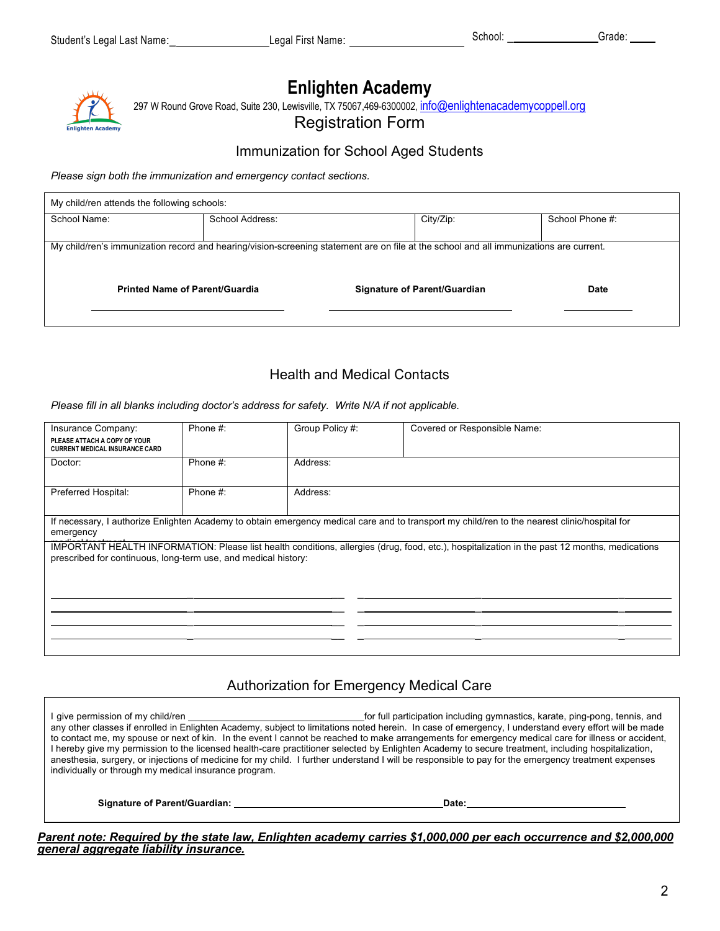# **Enlighten Academy**

297 W Round Grove Road, Suite 230, Lewisville, TX 75067,469-6300002, info@enlightenacademycoppell.org

Registration Form

### Immunization for School Aged Students

*Please sign both the immunization and emergency contact sections.*

| My child/ren attends the following schools:                                                                                            |                 |                              |           |                 |  |  |  |  |
|----------------------------------------------------------------------------------------------------------------------------------------|-----------------|------------------------------|-----------|-----------------|--|--|--|--|
| School Name:                                                                                                                           | School Address: |                              | City/Zip: | School Phone #: |  |  |  |  |
|                                                                                                                                        |                 |                              |           |                 |  |  |  |  |
| My child/ren's immunization record and hearing/vision-screening statement are on file at the school and all immunizations are current. |                 |                              |           |                 |  |  |  |  |
| <b>Printed Name of Parent/Guardia</b>                                                                                                  |                 | Signature of Parent/Guardian |           | <b>Date</b>     |  |  |  |  |

## Health and Medical Contacts

*Please fill in all blanks including doctor's address for safety. Write N/A if not applicable.*

| Insurance Company:                                                                                                                                                                                              | Phone #: | Group Policy #: | Covered or Responsible Name:                                                                                                                  |  |  |  |
|-----------------------------------------------------------------------------------------------------------------------------------------------------------------------------------------------------------------|----------|-----------------|-----------------------------------------------------------------------------------------------------------------------------------------------|--|--|--|
| PLEASE ATTACH A COPY OF YOUR<br><b>CURRENT MEDICAL INSURANCE CARD</b>                                                                                                                                           |          |                 |                                                                                                                                               |  |  |  |
| Doctor:                                                                                                                                                                                                         | Phone #: | Address:        |                                                                                                                                               |  |  |  |
| Preferred Hospital:                                                                                                                                                                                             | Phone #: | Address:        |                                                                                                                                               |  |  |  |
| emergency                                                                                                                                                                                                       |          |                 | If necessary, I authorize Enlighten Academy to obtain emergency medical care and to transport my child/ren to the nearest clinic/hospital for |  |  |  |
| IMPORTANT HEALTH INFORMATION: Please list health conditions, allergies (drug, food, etc.), hospitalization in the past 12 months, medications<br>prescribed for continuous, long-term use, and medical history: |          |                 |                                                                                                                                               |  |  |  |
|                                                                                                                                                                                                                 |          |                 |                                                                                                                                               |  |  |  |
|                                                                                                                                                                                                                 |          |                 |                                                                                                                                               |  |  |  |

## Authorization for Emergency Medical Care

I give permission of my child/ren **for full participation including gymnastics**, karate, ping-pong, tennis, and any other classes if enrolled in Enlighten Academy, subject to limitations noted herein. In case of emergency, I understand every effort will be made to contact me, my spouse or next of kin. In the event I cannot be reached to make arrangements for emergency medical care for illness or accident, I hereby give my permission to the licensed health-care practitioner selected by Enlighten Academy to secure treatment, including hospitalization, anesthesia, surgery, or injections of medicine for my child. I further understand I will be responsible to pay for the emergency treatment expenses individually or through my medical insurance program.

**Signature of Parent/Guardian: Date:**

*Parent note: Required by the state law, Enlighten academy carries \$1,000,000 per each occurrence and \$2,000,000 general aggregate liability insurance.*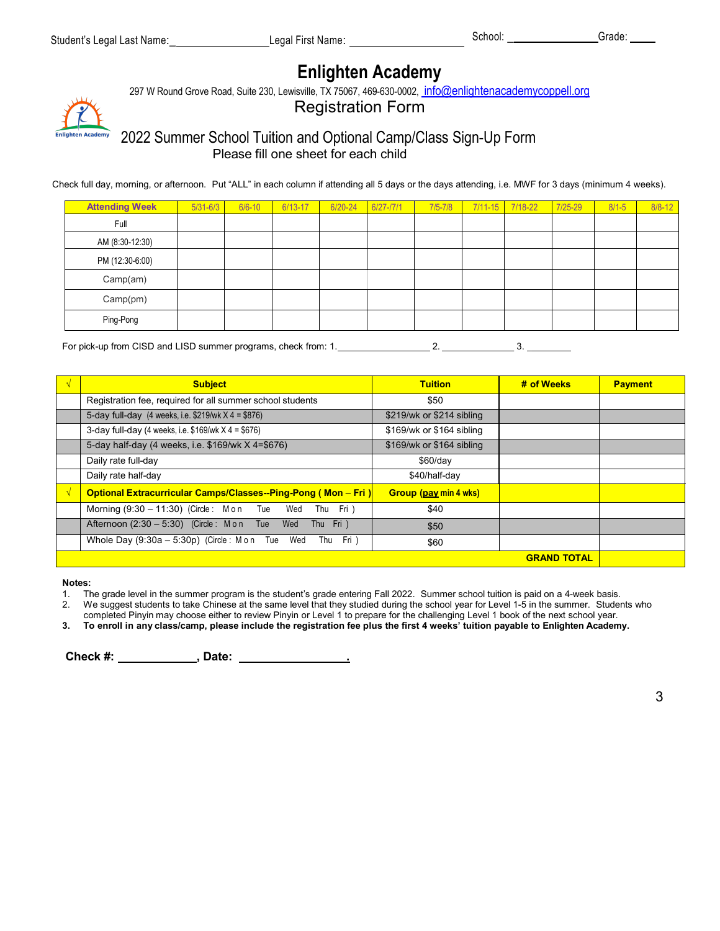## **Enlighten Academy**

297 W Round Grove Road, Suite 230, Lewisville, TX 75067, 469-630-0002, info@enlightenacademycoppell.org

Registration Form

## 2022 Summer School Tuition and Optional Camp/Class Sign-Up Form Please fill one sheet for each child

Check full day, morning, or afternoon. Put "ALL" in each column if attending all 5 days or the days attending, i.e. MWF for 3 days (minimum 4 weeks).

| <b>Attending Week</b> | $5/31 - 6/3$ | $6/6 - 10$ | 6/13-17 | 6/20-24 | $6/27 - 17/1$ | $7/5 - 7/8$ | 7/11-15 7/18-22 | 7/25-29 | $8/1 - 5$ | $8/8 - 12$ |
|-----------------------|--------------|------------|---------|---------|---------------|-------------|-----------------|---------|-----------|------------|
| Full                  |              |            |         |         |               |             |                 |         |           |            |
| AM (8:30-12:30)       |              |            |         |         |               |             |                 |         |           |            |
| PM (12:30-6:00)       |              |            |         |         |               |             |                 |         |           |            |
| Camp(am)              |              |            |         |         |               |             |                 |         |           |            |
| Camp(pm)              |              |            |         |         |               |             |                 |         |           |            |
| Ping-Pong             |              |            |         |         |               |             |                 |         |           |            |

For pick-up from CISD and LISD summer programs, check from: 1. 2. \_\_\_ 3. \_ \_

| <b>Subject</b>                                                          | <b>Tuition</b>               | # of Weeks         | <b>Payment</b> |
|-------------------------------------------------------------------------|------------------------------|--------------------|----------------|
| Registration fee, required for all summer school students               | \$50                         |                    |                |
| 5-day full-day $(4 \text{ weeks}, i.e. $219/\text{wk} \times 4 = $876)$ | \$219/wk or \$214 sibling    |                    |                |
| 3-day full-day (4 weeks, i.e. $$169/wk X 4 = $676$ )                    | \$169/wk or \$164 sibling    |                    |                |
| 5-day half-day (4 weeks, i.e. \$169/wk X 4=\$676)                       | \$169/wk or \$164 sibling    |                    |                |
| Daily rate full-day                                                     | $$60$ /day                   |                    |                |
| Daily rate half-day                                                     | \$40/half-day                |                    |                |
| <b>Optional Extracurricular Camps/Classes--Ping-Pong (Mon - Fri)</b>    | <b>Group (pay min 4 wks)</b> |                    |                |
| Morning (9:30 - 11:30) (Circle: Mon Tue Wed<br>Thu Fri)                 | \$40                         |                    |                |
| Afternoon (2:30 - 5:30) (Circle: M on Tue Wed<br>Thu Fri )              | \$50                         |                    |                |
| Whole Day $(9.30a - 5.30p)$ (Circle: M on Tue Wed<br>Thu Fri)           | \$60                         |                    |                |
|                                                                         |                              | <b>GRAND TOTAL</b> |                |

**Notes:**

1. The grade level in the summer program is the student's grade entering Fall 2022. Summer school tuition is paid on a 4-week basis.

2. We suggest students to take Chinese at the same level that they studied during the school year for Level 1-5 in the summer. Students who

completed Pinyin may choose either to review Pinyin or Level 1 to prepare for the challenging Level 1 book of the next school year.

3. To enroll in any class/camp, please include the registration fee plus the first 4 weeks' tuition payable to Enlighten Academy.

**Check #: , Date: .**